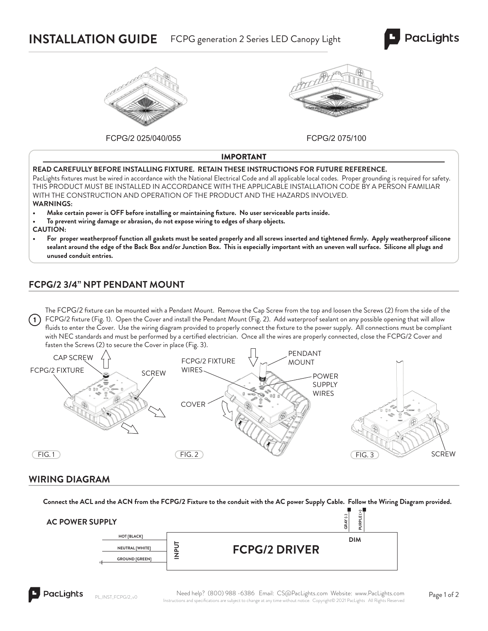# **INSTALLATION GUIDE** FCPG generation 2 Series LED Canopy Light





FCPG/2 025/040/055 FCPG/2 075/100



IMPORTANT

#### **READ CAREFULLY BEFORE INSTALLING FIXTURE. RETAIN THESE INSTRUCTIONS FOR FUTURE REFERENCE.**

PacLights fixtures must be wired in accordance with the National Electrical Code and all applicable local codes. Proper grounding is required for safety. THIS PRODUCT MUST BE INSTALLED IN ACCORDANCE WITH THE APPLICABLE INSTALLATION CODE BY A PERSON FAMILIAR WITH THE CONSTRUCTION AND OPERATION OF THE PRODUCT AND THE HAZARDS INVOLVED. **WARNINGS:**

- **Make certain power is OFF before installing or maintaining fi xture. No user serviceable parts inside.**
- **To prevent wiring damage or abrasion, do not expose wiring to edges of sharp objects.**

**CAUTION:**

For proper weatherproof function all gaskets must be seated properly and all screws inserted and tightened firmly. Apply weatherproof silicone **sealant around the edge of the Back Box and/or Junction Box. This is especially important with an uneven wall surface. Silicone all plugs and unused conduit entries.**

### **FCPG/2 3/4" NPT PENDANT MOUNT**

The FCPG/2 fixture can be mounted with a Pendant Mount. Remove the Cap Screw from the top and loosen the Screws (2) from the side of the FCPG/2 fixture (Fig. 1). Open the Cover and install the Pendant Mount (Fig. 2). Add waterproof sealant on any possible opening that will allow fluids to enter the Cover. Use the wiring diagram provided to properly connect the fixture to the power supply. All connections must be compliant with NEC standards and must be performed by a certified electrician. Once all the wires are properly connected, close the FCPG/2 Cover and fasten the Screws (2) to secure the Cover in place (Fig. 3).  $(1)$ 



### **WIRING DIAGRAM**

**Connect the ACL and the ACN from the FCPG/2 Fixture to the conduit with the AC power Supply Cable. Follow the Wiring Diagram provided.**

| <b>AC POWER SUPPLY</b> |        |                      | $\sim$<br>ت<br>$\overline{ }$<br>ш<br>ت<br>ᇍ<br>뜨<br>œ<br>ō<br>$\sim$ |  |
|------------------------|--------|----------------------|-----------------------------------------------------------------------|--|
| <b>HOT [BLACK]</b>     |        |                      | <b>DIM</b>                                                            |  |
| NEUTRAL [WHITE]        | -<br>௳ | <b>FCPG/2 DRIVER</b> |                                                                       |  |
| <b>GROUND [GREEN]</b>  | -      |                      |                                                                       |  |